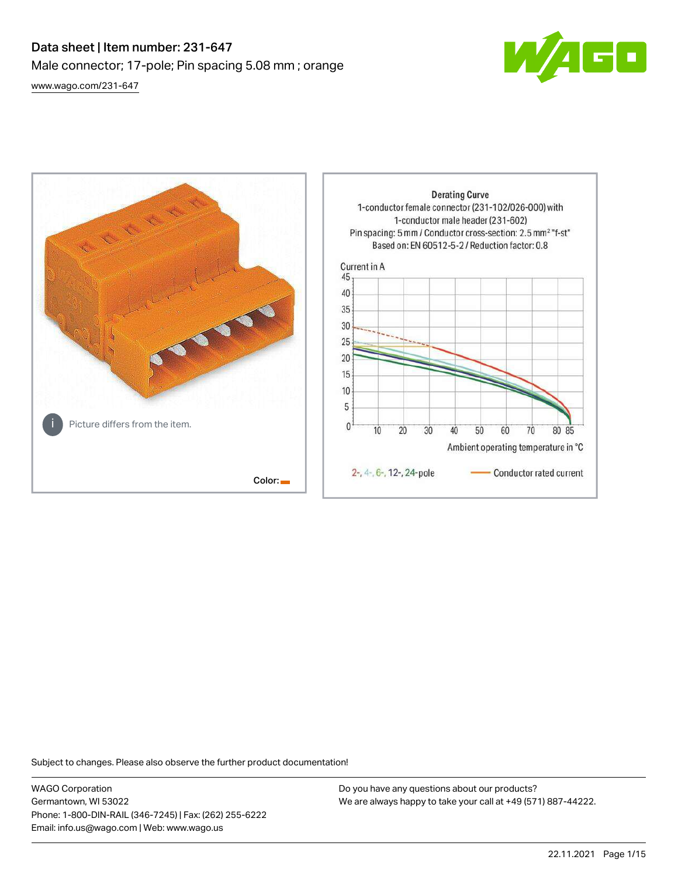# Data sheet | Item number: 231-647 Male connector; 17-pole; Pin spacing 5.08 mm ; orange [www.wago.com/231-647](http://www.wago.com/231-647)



**Derating Curve** 1-conductor female connector (231-102/026-000) with 1-conductor male header (231-602) Pin spacing: 5 mm / Conductor cross-section: 2.5 mm<sup>2</sup> "f-st" Based on: EN 60512-5-2 / Reduction factor: 0.8 Current in A 45 40 35 30 25  $20$ 15 10 5 Picture differs from the item.  $\mathbf{0}$  $10$ 20 30 40 50 60 70 80 85 Ambient operating temperature in °C 2-, 4-, 6-, 12-, 24-pole Conductor rated current Color:

Subject to changes. Please also observe the further product documentation!

WAGO Corporation Germantown, WI 53022 Phone: 1-800-DIN-RAIL (346-7245) | Fax: (262) 255-6222 Email: info.us@wago.com | Web: www.wago.us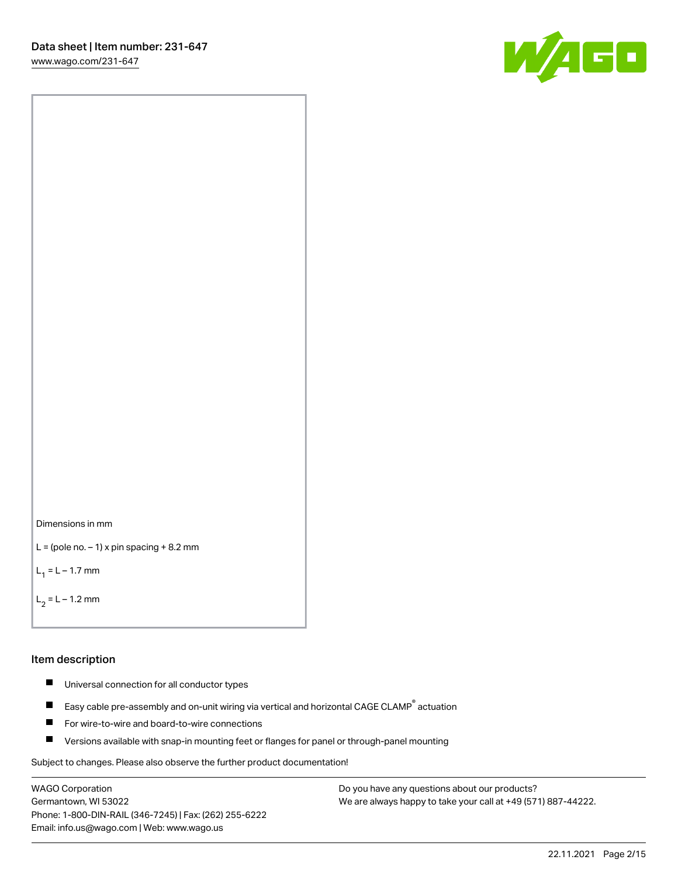[www.wago.com/231-647](http://www.wago.com/231-647)





```
L = (pole no. -1) x pin spacing +8.2 mm
```
 $L_1 = L - 1.7$  mm

```
L_2 = L - 1.2 mm
```
### Item description

- $\blacksquare$ Universal connection for all conductor types
- Easy cable pre-assembly and on-unit wiring via vertical and horizontal CAGE CLAMP<sup>®</sup> actuation  $\blacksquare$
- П For wire-to-wire and board-to-wire connections
- $\blacksquare$ Versions available with snap-in mounting feet or flanges for panel or through-panel mounting

Subject to changes. Please also observe the further product documentation!

WAGO Corporation Germantown, WI 53022 Phone: 1-800-DIN-RAIL (346-7245) | Fax: (262) 255-6222 Email: info.us@wago.com | Web: www.wago.us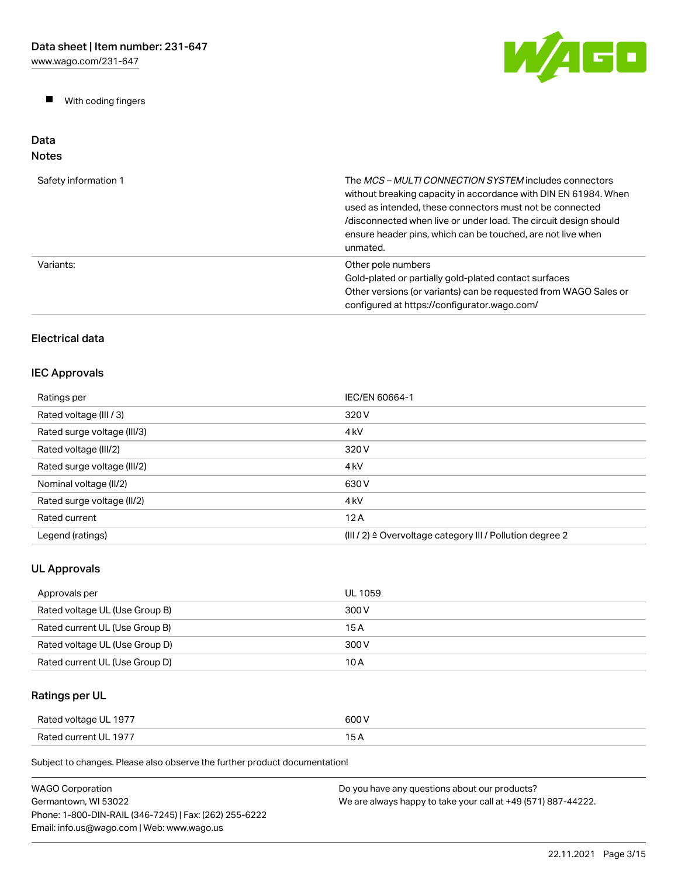$\blacksquare$ With coding fingers



### Data Notes

| Safety information 1 | The <i>MCS – MULTI CONNECTION SYSTEM</i> includes connectors<br>without breaking capacity in accordance with DIN EN 61984. When<br>used as intended, these connectors must not be connected<br>/disconnected when live or under load. The circuit design should<br>ensure header pins, which can be touched, are not live when<br>unmated. |
|----------------------|--------------------------------------------------------------------------------------------------------------------------------------------------------------------------------------------------------------------------------------------------------------------------------------------------------------------------------------------|
| Variants:            | Other pole numbers<br>Gold-plated or partially gold-plated contact surfaces<br>Other versions (or variants) can be requested from WAGO Sales or<br>configured at https://configurator.wago.com/                                                                                                                                            |

# Electrical data

# IEC Approvals

| Ratings per                 | IEC/EN 60664-1                                                       |
|-----------------------------|----------------------------------------------------------------------|
| Rated voltage (III / 3)     | 320 V                                                                |
| Rated surge voltage (III/3) | 4 <sub>kV</sub>                                                      |
| Rated voltage (III/2)       | 320 V                                                                |
| Rated surge voltage (III/2) | 4 <sub>k</sub> V                                                     |
| Nominal voltage (II/2)      | 630 V                                                                |
| Rated surge voltage (II/2)  | 4 <sub>k</sub> V                                                     |
| Rated current               | 12A                                                                  |
| Legend (ratings)            | (III / 2) $\triangleq$ Overvoltage category III / Pollution degree 2 |

# UL Approvals

| Approvals per                  | UL 1059 |
|--------------------------------|---------|
| Rated voltage UL (Use Group B) | 300 V   |
| Rated current UL (Use Group B) | 15 A    |
| Rated voltage UL (Use Group D) | 300 V   |
| Rated current UL (Use Group D) | 10 A    |

# Ratings per UL

| Rated voltage UL 1977 | 600 V         |
|-----------------------|---------------|
| Rated current UL 1977 | $\sim$<br>5 A |

| <b>WAGO Corporation</b>                                | Do you have any questions about our products?                 |
|--------------------------------------------------------|---------------------------------------------------------------|
| Germantown. WI 53022                                   | We are always happy to take your call at +49 (571) 887-44222. |
| Phone: 1-800-DIN-RAIL (346-7245)   Fax: (262) 255-6222 |                                                               |
| Email: info.us@wago.com   Web: www.wago.us             |                                                               |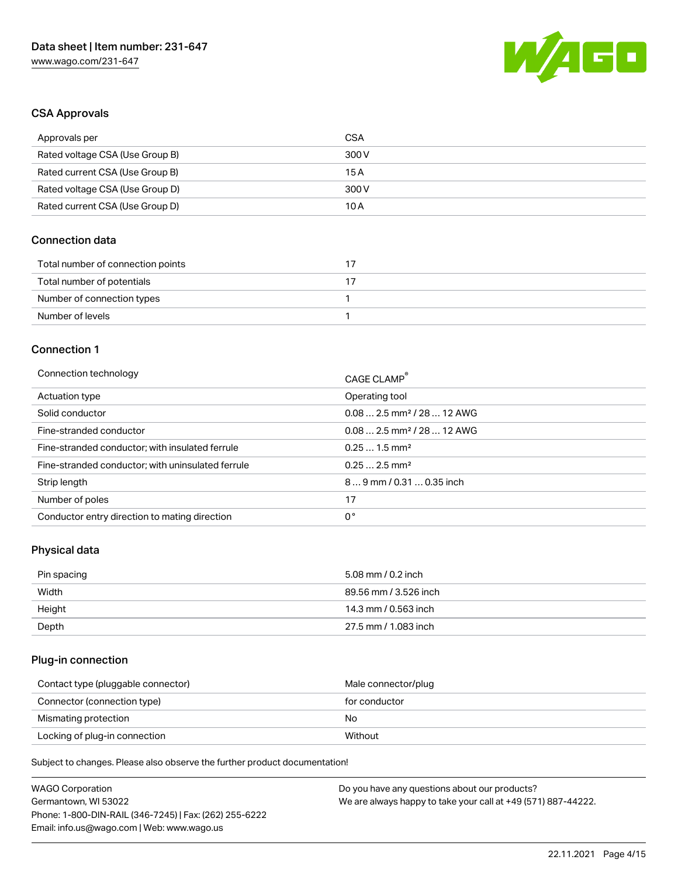

# CSA Approvals

| Approvals per                   | CSA   |
|---------------------------------|-------|
| Rated voltage CSA (Use Group B) | 300 V |
| Rated current CSA (Use Group B) | 15 A  |
| Rated voltage CSA (Use Group D) | 300 V |
| Rated current CSA (Use Group D) | 10 A  |

# Connection data

| Total number of connection points |  |
|-----------------------------------|--|
| Total number of potentials        |  |
| Number of connection types        |  |
| Number of levels                  |  |

#### Connection 1

| Connection technology                             | CAGE CLAMP <sup>®</sup>                |
|---------------------------------------------------|----------------------------------------|
| Actuation type                                    | Operating tool                         |
| Solid conductor                                   | $0.082.5$ mm <sup>2</sup> / 28  12 AWG |
| Fine-stranded conductor                           | $0.082.5$ mm <sup>2</sup> / 28  12 AWG |
| Fine-stranded conductor; with insulated ferrule   | $0.251.5$ mm <sup>2</sup>              |
| Fine-stranded conductor; with uninsulated ferrule | $0.252.5$ mm <sup>2</sup>              |
| Strip length                                      | $89$ mm / 0.31  0.35 inch              |
| Number of poles                                   | 17                                     |
| Conductor entry direction to mating direction     | 0°                                     |

# Physical data

| Pin spacing | 5.08 mm / 0.2 inch    |
|-------------|-----------------------|
| Width       | 89.56 mm / 3.526 inch |
| Height      | 14.3 mm / 0.563 inch  |
| Depth       | 27.5 mm / 1.083 inch  |

# Plug-in connection

| Contact type (pluggable connector) | Male connector/plug |
|------------------------------------|---------------------|
| Connector (connection type)        | for conductor       |
| Mismating protection               | No                  |
| Locking of plug-in connection      | Without             |

| <b>WAGO Corporation</b>                                | Do you have any questions about our products?                 |
|--------------------------------------------------------|---------------------------------------------------------------|
| Germantown, WI 53022                                   | We are always happy to take your call at +49 (571) 887-44222. |
| Phone: 1-800-DIN-RAIL (346-7245)   Fax: (262) 255-6222 |                                                               |
| Email: info.us@wago.com   Web: www.wago.us             |                                                               |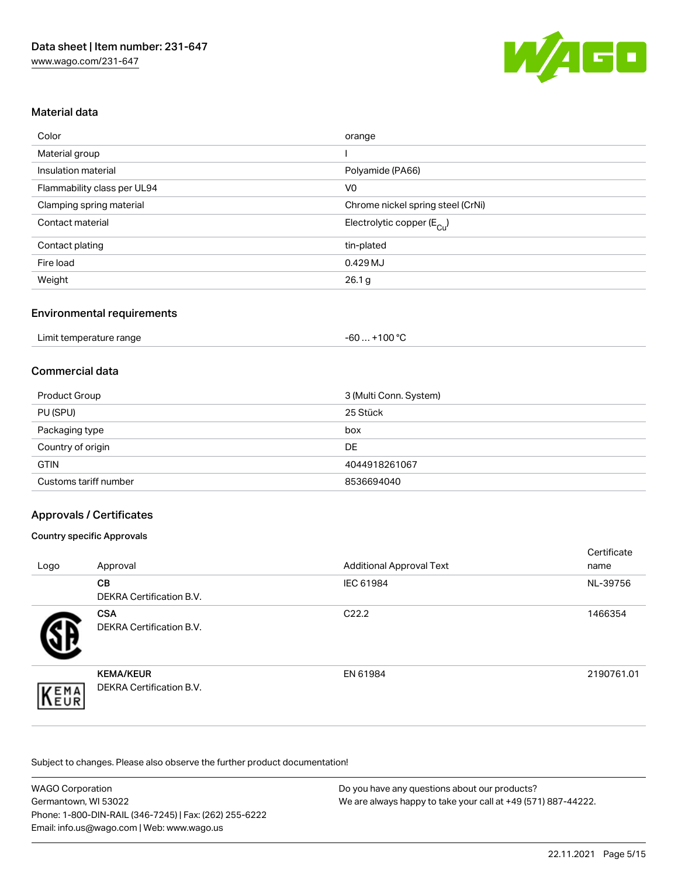

# Material data

| Color                       | orange                                |
|-----------------------------|---------------------------------------|
| Material group              |                                       |
| Insulation material         | Polyamide (PA66)                      |
| Flammability class per UL94 | V <sub>0</sub>                        |
| Clamping spring material    | Chrome nickel spring steel (CrNi)     |
| Contact material            | Electrolytic copper $(E_{\text{Cl}})$ |
| Contact plating             | tin-plated                            |
| Fire load                   | 0.429 MJ                              |
| Weight                      | 26.1 <sub>g</sub>                     |

# Environmental requirements

| Limit temperature range | +100 $^{\circ}$ C<br>-60 |  |
|-------------------------|--------------------------|--|
|-------------------------|--------------------------|--|

## Commercial data

| <b>Product Group</b>  | 3 (Multi Conn. System) |
|-----------------------|------------------------|
| PU (SPU)              | 25 Stück               |
| Packaging type        | box                    |
| Country of origin     | <b>DE</b>              |
| <b>GTIN</b>           | 4044918261067          |
| Customs tariff number | 8536694040             |

# Approvals / Certificates

#### Country specific Approvals

| Logo | Approval                                     | <b>Additional Approval Text</b> | Certificate<br>name |
|------|----------------------------------------------|---------------------------------|---------------------|
|      | <b>CB</b><br><b>DEKRA Certification B.V.</b> | IEC 61984                       | NL-39756            |
|      | <b>CSA</b><br>DEKRA Certification B.V.       | C <sub>22.2</sub>               | 1466354             |
| EMA  | <b>KEMA/KEUR</b><br>DEKRA Certification B.V. | EN 61984                        | 2190761.01          |

| <b>WAGO Corporation</b>                                | Do you have any questions about our products?                 |
|--------------------------------------------------------|---------------------------------------------------------------|
| Germantown, WI 53022                                   | We are always happy to take your call at +49 (571) 887-44222. |
| Phone: 1-800-DIN-RAIL (346-7245)   Fax: (262) 255-6222 |                                                               |
| Email: info.us@wago.com   Web: www.wago.us             |                                                               |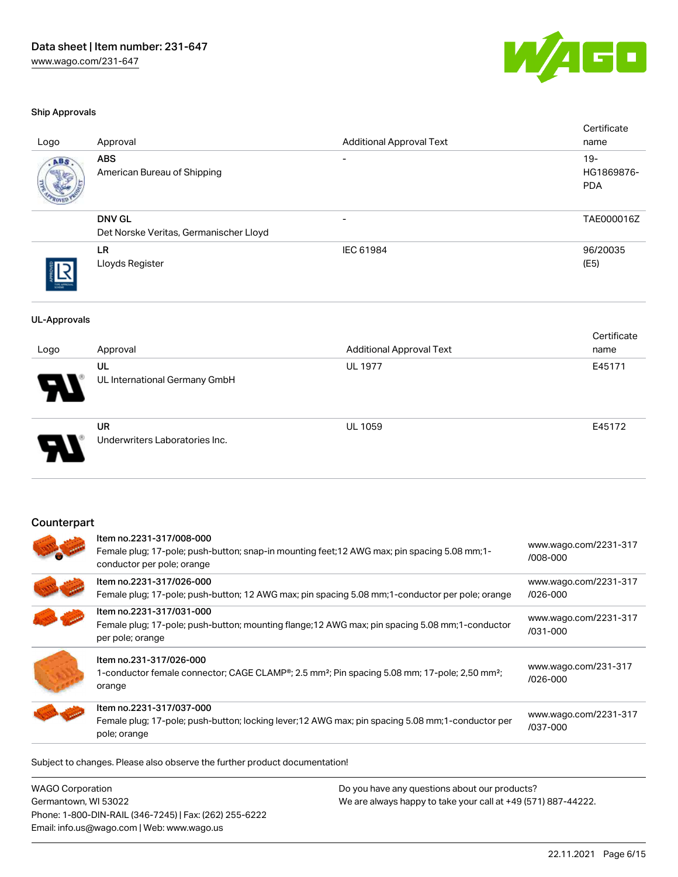

#### Ship Approvals

| Logo                | Approval                                                                                                                                                   | <b>Additional Approval Text</b> | Certificate<br>name               |
|---------------------|------------------------------------------------------------------------------------------------------------------------------------------------------------|---------------------------------|-----------------------------------|
| ABS                 | <b>ABS</b><br>American Bureau of Shipping                                                                                                                  |                                 | $19-$<br>HG1869876-<br><b>PDA</b> |
|                     | <b>DNV GL</b><br>Det Norske Veritas, Germanischer Lloyd                                                                                                    |                                 | TAE000016Z                        |
|                     | <b>LR</b><br>Lloyds Register                                                                                                                               | IEC 61984                       | 96/20035<br>(E5)                  |
| <b>UL-Approvals</b> |                                                                                                                                                            |                                 |                                   |
| Logo                | Approval                                                                                                                                                   | <b>Additional Approval Text</b> | Certificate<br>name               |
|                     | UL<br>UL International Germany GmbH                                                                                                                        | <b>UL 1977</b>                  | E45171                            |
|                     | <b>UR</b><br>Underwriters Laboratories Inc.                                                                                                                | <b>UL 1059</b>                  | E45172                            |
| Counterpart         | Item no.2231-317/008-000<br>Female plug; 17-pole; push-button; snap-in mounting feet; 12 AWG max; pin spacing 5.08 mm; 1-<br>conductor per pole; orange    |                                 | www.wago.com/2231-317<br>/008-000 |
|                     | Item no.2231-317/026-000<br>Female plug; 17-pole; push-button; 12 AWG max; pin spacing 5.08 mm; 1-conductor per pole; orange                               |                                 | www.wago.com/2231-317<br>/026-000 |
|                     | Item no.2231-317/031-000<br>Female plug; 17-pole; push-button; mounting flange; 12 AWG max; pin spacing 5.08 mm; 1-conductor<br>per pole; orange           |                                 | www.wago.com/2231-317<br>/031-000 |
|                     | Item no.231-317/026-000<br>1-conductor female connector; CAGE CLAMP®; 2.5 mm <sup>2</sup> ; Pin spacing 5.08 mm; 17-pole; 2,50 mm <sup>2</sup> ;<br>orange |                                 | www.wago.com/231-317<br>/026-000  |
|                     | Item no.2231-317/037-000<br>Female plug; 17-pole; push-button; locking lever; 12 AWG max; pin spacing 5.08 mm; 1-conductor per<br>pole; orange             |                                 | www.wago.com/2231-317<br>/037-000 |

| WAGO Corporation                                       | Do you have any questions about our products?                 |
|--------------------------------------------------------|---------------------------------------------------------------|
| Germantown, WI 53022                                   | We are always happy to take your call at +49 (571) 887-44222. |
| Phone: 1-800-DIN-RAIL (346-7245)   Fax: (262) 255-6222 |                                                               |
| Email: info.us@wago.com   Web: www.wago.us             |                                                               |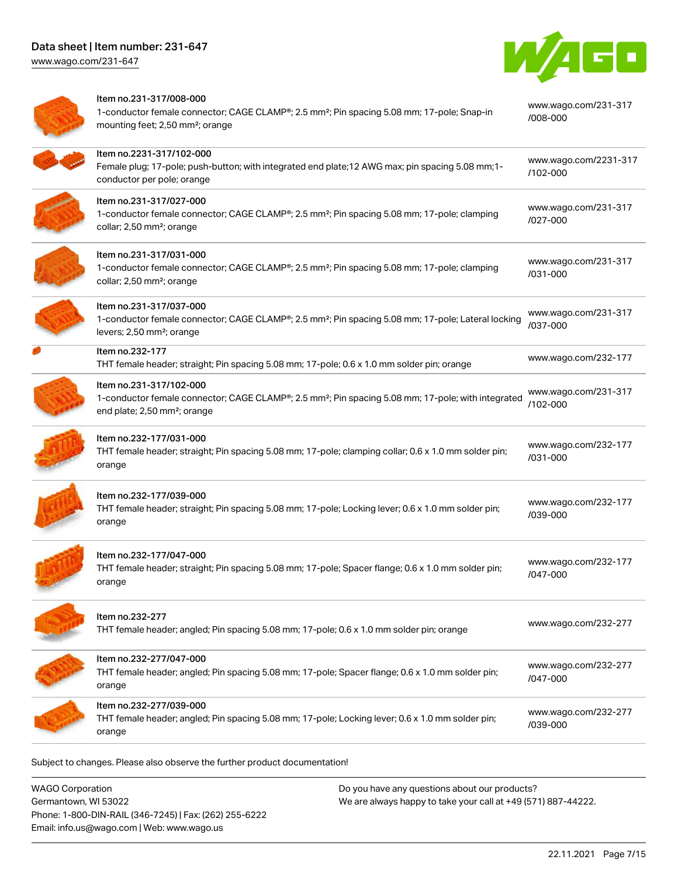[www.wago.com/231-647](http://www.wago.com/231-647)



| Item no.231-317/008-000<br>1-conductor female connector; CAGE CLAMP®; 2.5 mm <sup>2</sup> ; Pin spacing 5.08 mm; 17-pole; Snap-in<br>mounting feet; 2,50 mm <sup>2</sup> ; orange     | www.wago.com/231-317<br>/008-000      |
|---------------------------------------------------------------------------------------------------------------------------------------------------------------------------------------|---------------------------------------|
| Item no.2231-317/102-000<br>Female plug; 17-pole; push-button; with integrated end plate; 12 AWG max; pin spacing 5.08 mm; 1-<br>conductor per pole; orange                           | www.wago.com/2231-317<br>$/102 - 000$ |
| Item no.231-317/027-000<br>1-conductor female connector; CAGE CLAMP®; 2.5 mm <sup>2</sup> ; Pin spacing 5.08 mm; 17-pole; clamping<br>collar; 2,50 mm <sup>2</sup> ; orange           | www.wago.com/231-317<br>/027-000      |
| Item no.231-317/031-000<br>1-conductor female connector; CAGE CLAMP®; 2.5 mm <sup>2</sup> ; Pin spacing 5.08 mm; 17-pole; clamping<br>collar; 2,50 mm <sup>2</sup> ; orange           | www.wago.com/231-317<br>/031-000      |
| Item no.231-317/037-000<br>1-conductor female connector; CAGE CLAMP®; 2.5 mm <sup>2</sup> ; Pin spacing 5.08 mm; 17-pole; Lateral locking<br>levers; 2,50 mm <sup>2</sup> ; orange    | www.wago.com/231-317<br>/037-000      |
| Item no.232-177<br>THT female header; straight; Pin spacing 5.08 mm; 17-pole; 0.6 x 1.0 mm solder pin; orange                                                                         | www.wago.com/232-177                  |
| Item no.231-317/102-000<br>1-conductor female connector; CAGE CLAMP®; 2.5 mm <sup>2</sup> ; Pin spacing 5.08 mm; 17-pole; with integrated<br>end plate; 2,50 mm <sup>2</sup> ; orange | www.wago.com/231-317<br>/102-000      |
| Item no.232-177/031-000<br>THT female header; straight; Pin spacing 5.08 mm; 17-pole; clamping collar; 0.6 x 1.0 mm solder pin;<br>orange                                             | www.wago.com/232-177<br>/031-000      |
| Item no.232-177/039-000<br>THT female header; straight; Pin spacing 5.08 mm; 17-pole; Locking lever; 0.6 x 1.0 mm solder pin;<br>orange                                               | www.wago.com/232-177<br>/039-000      |
| Item no.232-177/047-000<br>THT female header; straight; Pin spacing 5.08 mm; 17-pole; Spacer flange; 0.6 x 1.0 mm solder pin;<br>orange                                               | www.wago.com/232-177<br>/047-000      |
| Item no.232-277<br>THT female header; angled; Pin spacing 5.08 mm; 17-pole; 0.6 x 1.0 mm solder pin; orange                                                                           | www.wago.com/232-277                  |
| Item no.232-277/047-000<br>THT female header; angled; Pin spacing 5.08 mm; 17-pole; Spacer flange; 0.6 x 1.0 mm solder pin;<br>orange                                                 | www.wago.com/232-277<br>/047-000      |
| Item no.232-277/039-000<br>THT female header; angled; Pin spacing 5.08 mm; 17-pole; Locking lever; 0.6 x 1.0 mm solder pin;<br>orange                                                 | www.wago.com/232-277<br>/039-000      |

| <b>WAGO Corporation</b>                                | Do you have any questions about our products?                 |
|--------------------------------------------------------|---------------------------------------------------------------|
| Germantown, WI 53022                                   | We are always happy to take your call at +49 (571) 887-44222. |
| Phone: 1-800-DIN-RAIL (346-7245)   Fax: (262) 255-6222 |                                                               |
| Email: info.us@wago.com   Web: www.wago.us             |                                                               |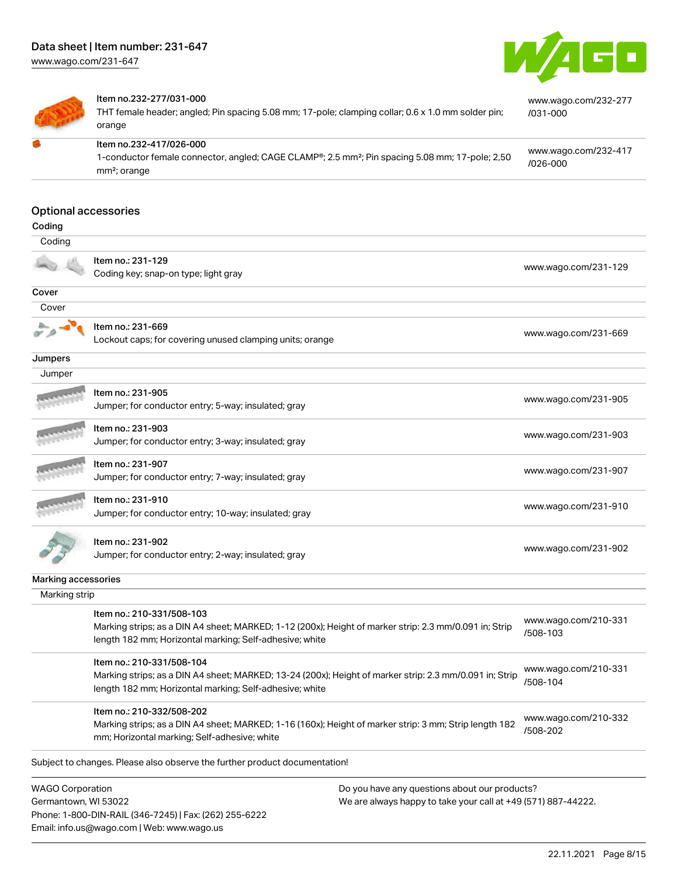[www.wago.com/231-647](http://www.wago.com/231-647)





#### Item no.232-277/031-000

Phone: 1-800-DIN-RAIL (346-7245) | Fax: (262) 255-6222

Email: info.us@wago.com | Web: www.wago.us

THT female header; angled; Pin spacing 5.08 mm; 17-pole; clamping collar; 0.6 x 1.0 mm solder pin; orange

[www.wago.com/232-417](https://www.wago.com/232-417/026-000)

[www.wago.com/232-277](https://www.wago.com/232-277/031-000)

[/031-000](https://www.wago.com/232-277/031-000)

Item no.232-417/026-000 1-conductor female connector, angled; CAGE CLAMP®; 2.5 mm²; Pin spacing 5.08 mm; 17-pole; 2,50 mm²; orange [/026-000](https://www.wago.com/232-417/026-000)

#### Optional accessories

| Coding                                          |                                                                                                                                                                                                 |                                                                                                                |                                  |
|-------------------------------------------------|-------------------------------------------------------------------------------------------------------------------------------------------------------------------------------------------------|----------------------------------------------------------------------------------------------------------------|----------------------------------|
| Coding                                          |                                                                                                                                                                                                 |                                                                                                                |                                  |
|                                                 | Item no.: 231-129<br>Coding key; snap-on type; light gray                                                                                                                                       |                                                                                                                | www.wago.com/231-129             |
| Cover                                           |                                                                                                                                                                                                 |                                                                                                                |                                  |
| Cover                                           |                                                                                                                                                                                                 |                                                                                                                |                                  |
|                                                 | Item no.: 231-669<br>Lockout caps; for covering unused clamping units; orange                                                                                                                   |                                                                                                                | www.wago.com/231-669             |
| Jumpers                                         |                                                                                                                                                                                                 |                                                                                                                |                                  |
| Jumper                                          |                                                                                                                                                                                                 |                                                                                                                |                                  |
|                                                 | Item no.: 231-905<br>Jumper; for conductor entry; 5-way; insulated; gray                                                                                                                        |                                                                                                                | www.wago.com/231-905             |
|                                                 | Item no.: 231-903<br>Jumper; for conductor entry; 3-way; insulated; gray                                                                                                                        |                                                                                                                | www.wago.com/231-903             |
|                                                 | Item no.: 231-907<br>Jumper; for conductor entry; 7-way; insulated; gray                                                                                                                        |                                                                                                                | www.wago.com/231-907             |
|                                                 | Item no.: 231-910<br>Jumper; for conductor entry; 10-way; insulated; gray                                                                                                                       |                                                                                                                | www.wago.com/231-910             |
|                                                 | Item no.: 231-902<br>Jumper; for conductor entry; 2-way; insulated; gray                                                                                                                        |                                                                                                                | www.wago.com/231-902             |
| Marking accessories                             |                                                                                                                                                                                                 |                                                                                                                |                                  |
| Marking strip                                   |                                                                                                                                                                                                 |                                                                                                                |                                  |
|                                                 | Item no.: 210-331/508-103<br>Marking strips; as a DIN A4 sheet; MARKED; 1-12 (200x); Height of marker strip: 2.3 mm/0.091 in; Strip<br>length 182 mm; Horizontal marking; Self-adhesive; white  |                                                                                                                | www.wago.com/210-331<br>/508-103 |
|                                                 | Item no.: 210-331/508-104<br>Marking strips; as a DIN A4 sheet; MARKED; 13-24 (200x); Height of marker strip: 2.3 mm/0.091 in; Strip<br>length 182 mm; Horizontal marking; Self-adhesive; white |                                                                                                                | www.wago.com/210-331<br>/508-104 |
|                                                 | Item no.: 210-332/508-202<br>Marking strips; as a DIN A4 sheet; MARKED; 1-16 (160x); Height of marker strip: 3 mm; Strip length 182<br>mm; Horizontal marking; Self-adhesive; white             |                                                                                                                | www.wago.com/210-332<br>/508-202 |
|                                                 | Subject to changes. Please also observe the further product documentation!                                                                                                                      |                                                                                                                |                                  |
| <b>WAGO Corporation</b><br>Germantown, WI 53022 |                                                                                                                                                                                                 | Do you have any questions about our products?<br>We are always happy to take your call at +49 (571) 887-44222. |                                  |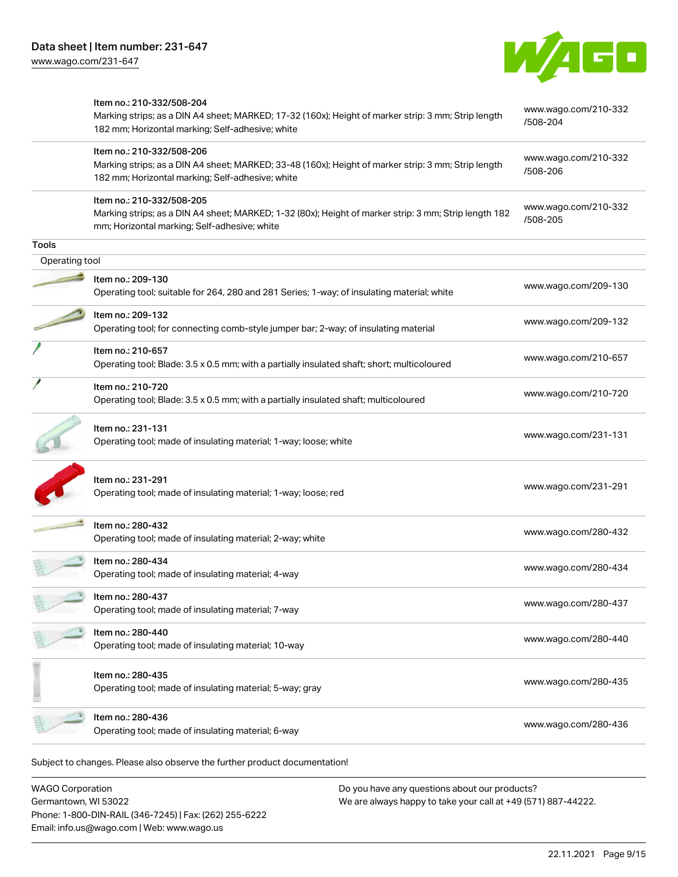

|                | Item no.: 210-332/508-204<br>Marking strips; as a DIN A4 sheet; MARKED; 17-32 (160x); Height of marker strip: 3 mm; Strip length<br>182 mm; Horizontal marking; Self-adhesive; white | www.wago.com/210-332<br>/508-204 |
|----------------|--------------------------------------------------------------------------------------------------------------------------------------------------------------------------------------|----------------------------------|
|                | Item no.: 210-332/508-206<br>Marking strips; as a DIN A4 sheet; MARKED; 33-48 (160x); Height of marker strip: 3 mm; Strip length<br>182 mm; Horizontal marking; Self-adhesive; white | www.wago.com/210-332<br>/508-206 |
|                | Item no.: 210-332/508-205<br>Marking strips; as a DIN A4 sheet; MARKED; 1-32 (80x); Height of marker strip: 3 mm; Strip length 182<br>mm; Horizontal marking; Self-adhesive; white   | www.wago.com/210-332<br>/508-205 |
| <b>Tools</b>   |                                                                                                                                                                                      |                                  |
| Operating tool |                                                                                                                                                                                      |                                  |
|                | Item no.: 209-130<br>Operating tool; suitable for 264, 280 and 281 Series; 1-way; of insulating material; white                                                                      | www.wago.com/209-130             |
|                | Item no.: 209-132<br>Operating tool; for connecting comb-style jumper bar; 2-way; of insulating material                                                                             | www.wago.com/209-132             |
|                | Item no.: 210-657<br>Operating tool; Blade: 3.5 x 0.5 mm; with a partially insulated shaft; short; multicoloured                                                                     | www.wago.com/210-657             |
|                | Item no.: 210-720<br>Operating tool; Blade: 3.5 x 0.5 mm; with a partially insulated shaft; multicoloured                                                                            | www.wago.com/210-720             |
|                | Item no.: 231-131<br>Operating tool; made of insulating material; 1-way; loose; white                                                                                                | www.wago.com/231-131             |
|                | Item no.: 231-291<br>Operating tool; made of insulating material; 1-way; loose; red                                                                                                  | www.wago.com/231-291             |
|                | Item no.: 280-432<br>Operating tool; made of insulating material; 2-way; white                                                                                                       | www.wago.com/280-432             |
|                | Item no.: 280-434<br>Operating tool; made of insulating material; 4-way                                                                                                              | www.wago.com/280-434             |
|                | Item no.: 280-437<br>Operating tool; made of insulating material; 7-way                                                                                                              | www.wago.com/280-437             |
|                | Item no.: 280-440<br>Operating tool; made of insulating material; 10-way                                                                                                             | www.wago.com/280-440             |
|                | Item no.: 280-435<br>Operating tool; made of insulating material; 5-way; gray                                                                                                        | www.wago.com/280-435             |
|                | Item no.: 280-436<br>Operating tool; made of insulating material; 6-way                                                                                                              | www.wago.com/280-436             |

WAGO Corporation Germantown, WI 53022 Phone: 1-800-DIN-RAIL (346-7245) | Fax: (262) 255-6222 Email: info.us@wago.com | Web: www.wago.us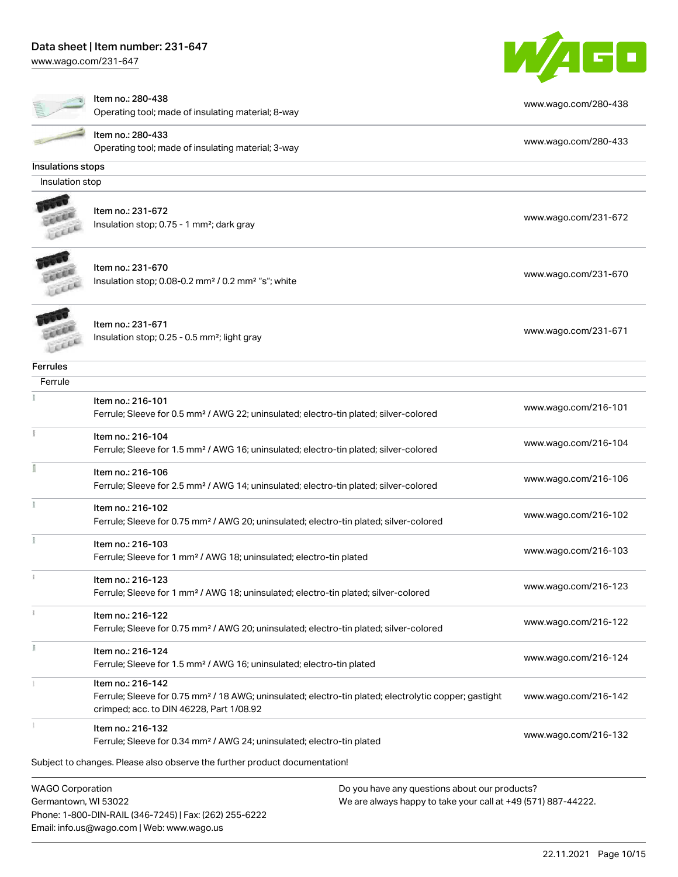### Data sheet | Item number: 231-647

Email: info.us@wago.com | Web: www.wago.us

[www.wago.com/231-647](http://www.wago.com/231-647)



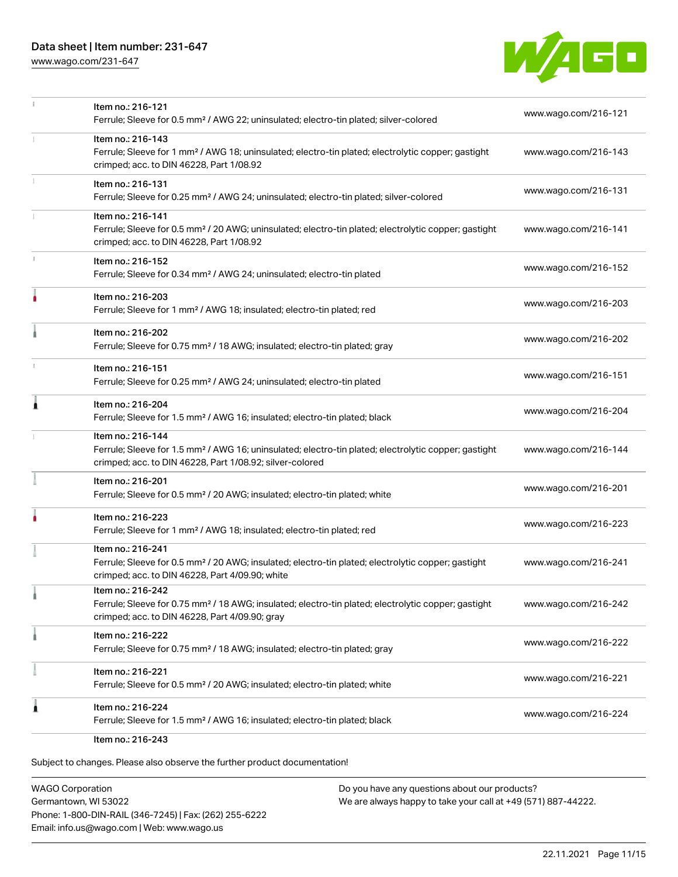# Data sheet | Item number: 231-647

[www.wago.com/231-647](http://www.wago.com/231-647)



|    | Item no.: 216-243                                                                                                                                                                                 |                      |
|----|---------------------------------------------------------------------------------------------------------------------------------------------------------------------------------------------------|----------------------|
|    | Item no.: 216-224<br>Ferrule; Sleeve for 1.5 mm <sup>2</sup> / AWG 16; insulated; electro-tin plated; black                                                                                       | www.wago.com/216-224 |
|    | Item no.: 216-221<br>Ferrule; Sleeve for 0.5 mm <sup>2</sup> / 20 AWG; insulated; electro-tin plated; white                                                                                       | www.wago.com/216-221 |
|    | Item no.: 216-222<br>Ferrule; Sleeve for 0.75 mm <sup>2</sup> / 18 AWG; insulated; electro-tin plated; gray                                                                                       | www.wago.com/216-222 |
|    | Item no.: 216-242<br>Ferrule; Sleeve for 0.75 mm <sup>2</sup> / 18 AWG; insulated; electro-tin plated; electrolytic copper; gastight<br>crimped; acc. to DIN 46228, Part 4/09.90; gray            | www.wago.com/216-242 |
|    | Item no.: 216-241<br>Ferrule; Sleeve for 0.5 mm <sup>2</sup> / 20 AWG; insulated; electro-tin plated; electrolytic copper; gastight<br>crimped; acc. to DIN 46228, Part 4/09.90; white            | www.wago.com/216-241 |
|    | Item no.: 216-223<br>Ferrule; Sleeve for 1 mm <sup>2</sup> / AWG 18; insulated; electro-tin plated; red                                                                                           | www.wago.com/216-223 |
|    | Item no.: 216-201<br>Ferrule; Sleeve for 0.5 mm <sup>2</sup> / 20 AWG; insulated; electro-tin plated; white                                                                                       | www.wago.com/216-201 |
|    | Item no.: 216-144<br>Ferrule; Sleeve for 1.5 mm <sup>2</sup> / AWG 16; uninsulated; electro-tin plated; electrolytic copper; gastight<br>crimped; acc. to DIN 46228, Part 1/08.92; silver-colored | www.wago.com/216-144 |
| Ă  | Item no.: 216-204<br>Ferrule; Sleeve for 1.5 mm <sup>2</sup> / AWG 16; insulated; electro-tin plated; black                                                                                       | www.wago.com/216-204 |
|    | Item no.: 216-151<br>Ferrule; Sleeve for 0.25 mm <sup>2</sup> / AWG 24; uninsulated; electro-tin plated                                                                                           | www.wago.com/216-151 |
|    | Item no.: 216-202<br>Ferrule; Sleeve for 0.75 mm <sup>2</sup> / 18 AWG; insulated; electro-tin plated; gray                                                                                       | www.wago.com/216-202 |
|    | Item no.: 216-203<br>Ferrule; Sleeve for 1 mm <sup>2</sup> / AWG 18; insulated; electro-tin plated; red                                                                                           | www.wago.com/216-203 |
| J. | Item no.: 216-152<br>Ferrule; Sleeve for 0.34 mm <sup>2</sup> / AWG 24; uninsulated; electro-tin plated                                                                                           | www.wago.com/216-152 |
|    | Item no.: 216-141<br>Ferrule; Sleeve for 0.5 mm <sup>2</sup> / 20 AWG; uninsulated; electro-tin plated; electrolytic copper; gastight<br>crimped; acc. to DIN 46228, Part 1/08.92                 | www.wago.com/216-141 |
|    | Item no.: 216-131<br>Ferrule; Sleeve for 0.25 mm <sup>2</sup> / AWG 24; uninsulated; electro-tin plated; silver-colored                                                                           | www.wago.com/216-131 |
| 1  | Item no.: 216-143<br>Ferrule; Sleeve for 1 mm <sup>2</sup> / AWG 18; uninsulated; electro-tin plated; electrolytic copper; gastight<br>crimped; acc. to DIN 46228, Part 1/08.92                   | www.wago.com/216-143 |
|    | Item no.: 216-121<br>Ferrule; Sleeve for 0.5 mm <sup>2</sup> / AWG 22; uninsulated; electro-tin plated; silver-colored                                                                            | www.wago.com/216-121 |

Subject to changes. Please also observe the further product documentation!

WAGO Corporation Germantown, WI 53022 Phone: 1-800-DIN-RAIL (346-7245) | Fax: (262) 255-6222 Email: info.us@wago.com | Web: www.wago.us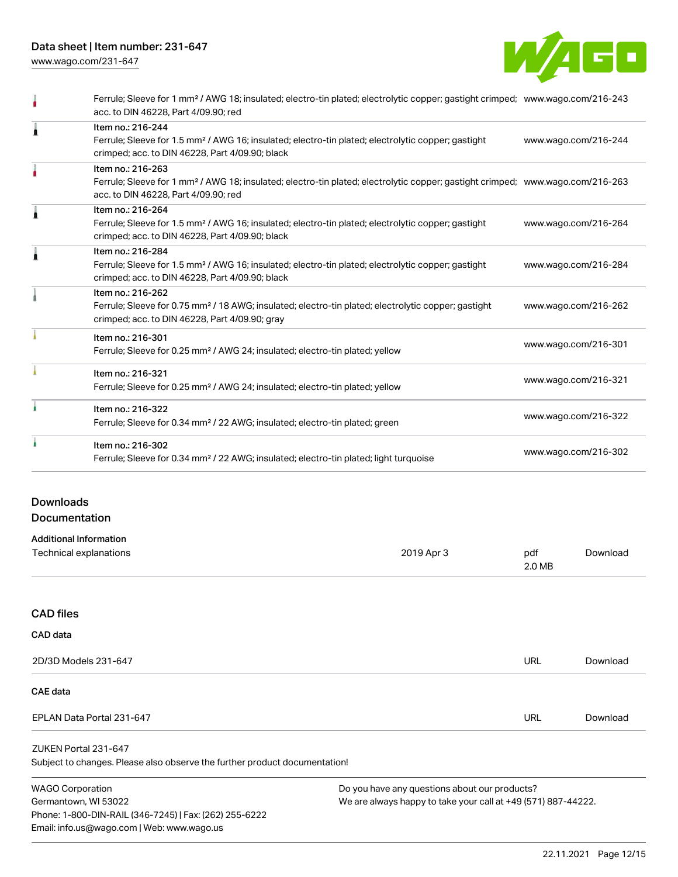Data sheet | Item number: 231-647

[www.wago.com/231-647](http://www.wago.com/231-647)



|   | Ferrule; Sleeve for 1 mm <sup>2</sup> / AWG 18; insulated; electro-tin plated; electrolytic copper; gastight crimped; www.wago.com/216-243<br>acc. to DIN 46228, Part 4/09.90; red                      |                      |
|---|---------------------------------------------------------------------------------------------------------------------------------------------------------------------------------------------------------|----------------------|
| Ă | Item no.: 216-244<br>Ferrule; Sleeve for 1.5 mm <sup>2</sup> / AWG 16; insulated; electro-tin plated; electrolytic copper; gastight<br>crimped; acc. to DIN 46228, Part 4/09.90; black                  | www.wago.com/216-244 |
|   | Item no.: 216-263<br>Ferrule; Sleeve for 1 mm <sup>2</sup> / AWG 18; insulated; electro-tin plated; electrolytic copper; gastight crimped; www.wago.com/216-263<br>acc. to DIN 46228, Part 4/09.90; red |                      |
| Â | Item no.: 216-264<br>Ferrule; Sleeve for 1.5 mm <sup>2</sup> / AWG 16; insulated; electro-tin plated; electrolytic copper; gastight<br>crimped; acc. to DIN 46228, Part 4/09.90; black                  | www.wago.com/216-264 |
| Å | Item no.: 216-284<br>Ferrule; Sleeve for 1.5 mm <sup>2</sup> / AWG 16; insulated; electro-tin plated; electrolytic copper; gastight<br>crimped; acc. to DIN 46228, Part 4/09.90; black                  | www.wago.com/216-284 |
|   | Item no.: 216-262<br>Ferrule; Sleeve for 0.75 mm <sup>2</sup> / 18 AWG; insulated; electro-tin plated; electrolytic copper; gastight<br>crimped; acc. to DIN 46228, Part 4/09.90; gray                  | www.wago.com/216-262 |
|   | Item no.: 216-301<br>Ferrule; Sleeve for 0.25 mm <sup>2</sup> / AWG 24; insulated; electro-tin plated; yellow                                                                                           | www.wago.com/216-301 |
|   | Item no.: 216-321<br>Ferrule; Sleeve for 0.25 mm <sup>2</sup> / AWG 24; insulated; electro-tin plated; yellow                                                                                           | www.wago.com/216-321 |
|   | Item no.: 216-322<br>Ferrule; Sleeve for 0.34 mm <sup>2</sup> / 22 AWG; insulated; electro-tin plated; green                                                                                            | www.wago.com/216-322 |
|   | Item no.: 216-302<br>Ferrule; Sleeve for 0.34 mm <sup>2</sup> / 22 AWG; insulated; electro-tin plated; light turquoise                                                                                  | www.wago.com/216-302 |

# Downloads **Documentation**

# Additional Information

| 2019 Apr 3 | pdf<br>2.0 MB                                                              | Download |
|------------|----------------------------------------------------------------------------|----------|
|            |                                                                            |          |
|            |                                                                            |          |
|            |                                                                            |          |
|            | <b>URL</b>                                                                 | Download |
|            |                                                                            |          |
|            | <b>URL</b>                                                                 | Download |
|            |                                                                            |          |
|            |                                                                            |          |
|            | Subject to changes. Please also observe the further product documentation! |          |

WAGO Corporation Germantown, WI 53022 Phone: 1-800-DIN-RAIL (346-7245) | Fax: (262) 255-6222 Email: info.us@wago.com | Web: www.wago.us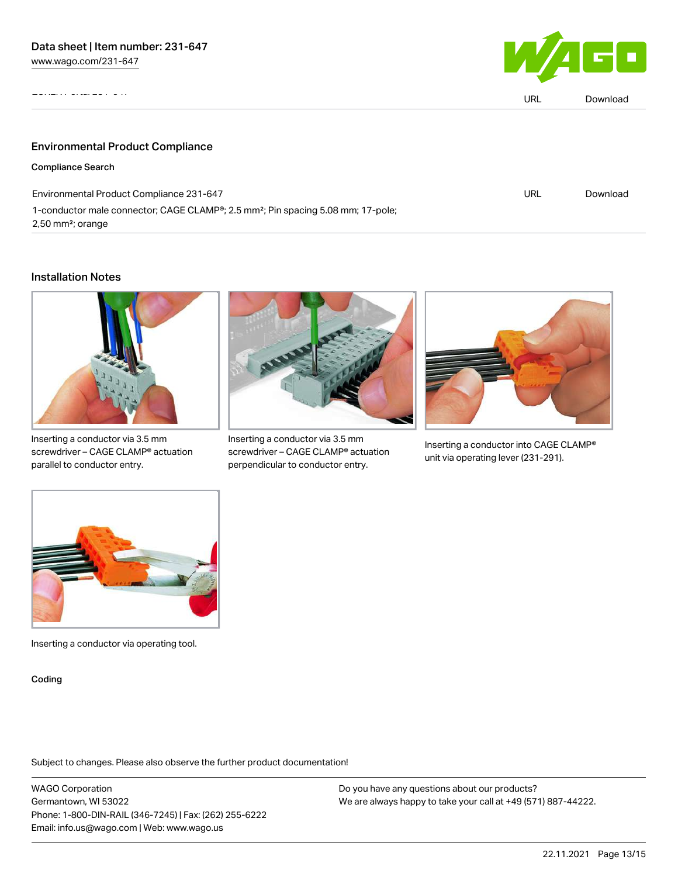ZUKEN Portal 231-647



|                                                                                                                                 | URL | Download |
|---------------------------------------------------------------------------------------------------------------------------------|-----|----------|
|                                                                                                                                 |     |          |
| <b>Environmental Product Compliance</b>                                                                                         |     |          |
| <b>Compliance Search</b>                                                                                                        |     |          |
| Environmental Product Compliance 231-647                                                                                        | URL | Download |
| 1-conductor male connector; CAGE CLAMP®; 2.5 mm <sup>2</sup> ; Pin spacing 5.08 mm; 17-pole;<br>$2,50$ mm <sup>2</sup> ; orange |     |          |

### Installation Notes



Inserting a conductor via 3.5 mm screwdriver – CAGE CLAMP® actuation parallel to conductor entry.



Inserting a conductor via 3.5 mm screwdriver – CAGE CLAMP® actuation perpendicular to conductor entry.



Inserting a conductor into CAGE CLAMP® unit via operating lever (231-291).



Inserting a conductor via operating tool.

Coding

Subject to changes. Please also observe the further product documentation!

WAGO Corporation Germantown, WI 53022 Phone: 1-800-DIN-RAIL (346-7245) | Fax: (262) 255-6222 Email: info.us@wago.com | Web: www.wago.us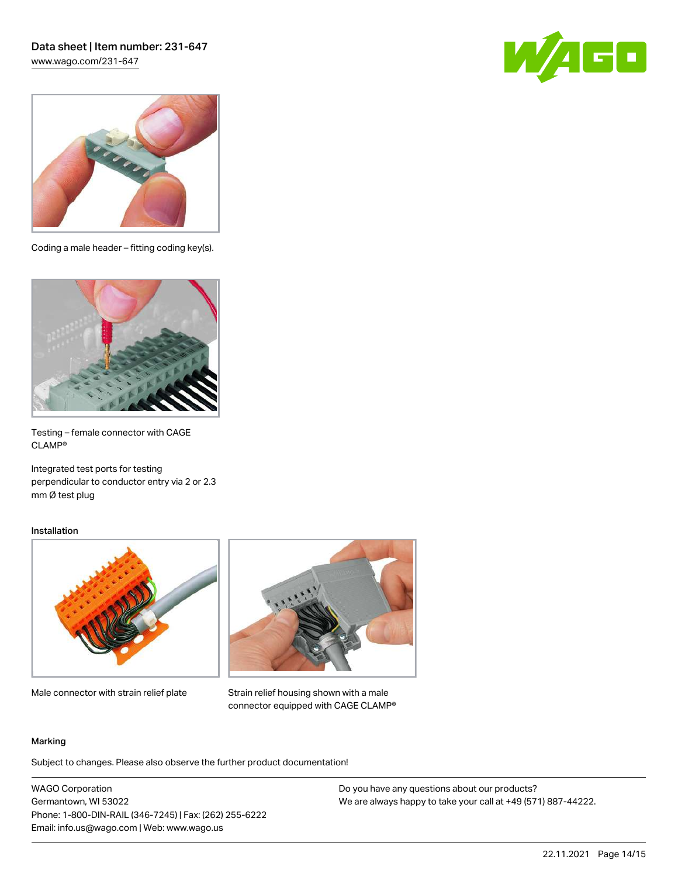



Coding a male header – fitting coding key(s).



Testing – female connector with CAGE CLAMP®

Integrated test ports for testing perpendicular to conductor entry via 2 or 2.3 mm Ø test plug

#### Installation



Male connector with strain relief plate



Strain relief housing shown with a male connector equipped with CAGE CLAMP®

#### Marking

Subject to changes. Please also observe the further product documentation!

WAGO Corporation Germantown, WI 53022 Phone: 1-800-DIN-RAIL (346-7245) | Fax: (262) 255-6222 Email: info.us@wago.com | Web: www.wago.us